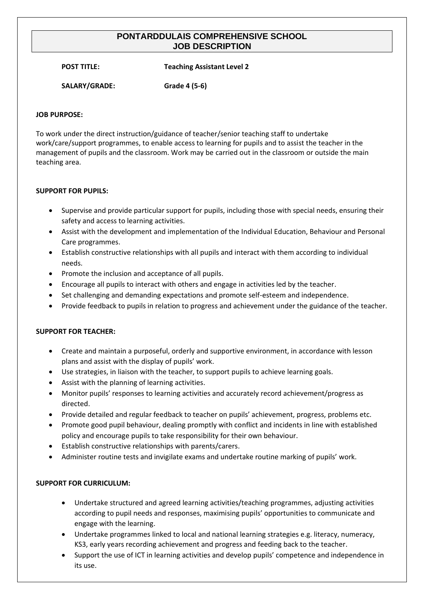# **PONTARDDULAIS COMPREHENSIVE SCHOOL JOB DESCRIPTION**

**POST TITLE: Teaching Assistant Level 2**

**SALARY/GRADE: Grade 4 (5-6)**

### **JOB PURPOSE:**

To work under the direct instruction/guidance of teacher/senior teaching staff to undertake work/care/support programmes, to enable access to learning for pupils and to assist the teacher in the management of pupils and the classroom. Work may be carried out in the classroom or outside the main teaching area.

## **SUPPORT FOR PUPILS:**

- Supervise and provide particular support for pupils, including those with special needs, ensuring their safety and access to learning activities.
- Assist with the development and implementation of the Individual Education, Behaviour and Personal Care programmes.
- Establish constructive relationships with all pupils and interact with them according to individual needs.
- Promote the inclusion and acceptance of all pupils.
- Encourage all pupils to interact with others and engage in activities led by the teacher.
- Set challenging and demanding expectations and promote self-esteem and independence.
- Provide feedback to pupils in relation to progress and achievement under the guidance of the teacher.

### **SUPPORT FOR TEACHER:**

- Create and maintain a purposeful, orderly and supportive environment, in accordance with lesson plans and assist with the display of pupils' work.
- Use strategies, in liaison with the teacher, to support pupils to achieve learning goals.
- Assist with the planning of learning activities.
- Monitor pupils' responses to learning activities and accurately record achievement/progress as directed.
- Provide detailed and regular feedback to teacher on pupils' achievement, progress, problems etc.
- Promote good pupil behaviour, dealing promptly with conflict and incidents in line with established policy and encourage pupils to take responsibility for their own behaviour.
- Establish constructive relationships with parents/carers.
- Administer routine tests and invigilate exams and undertake routine marking of pupils' work.

### **SUPPORT FOR CURRICULUM:**

- Undertake structured and agreed learning activities/teaching programmes, adjusting activities according to pupil needs and responses, maximising pupils' opportunities to communicate and engage with the learning.
- Undertake programmes linked to local and national learning strategies e.g. literacy, numeracy, KS3, early years recording achievement and progress and feeding back to the teacher.
- Support the use of ICT in learning activities and develop pupils' competence and independence in its use.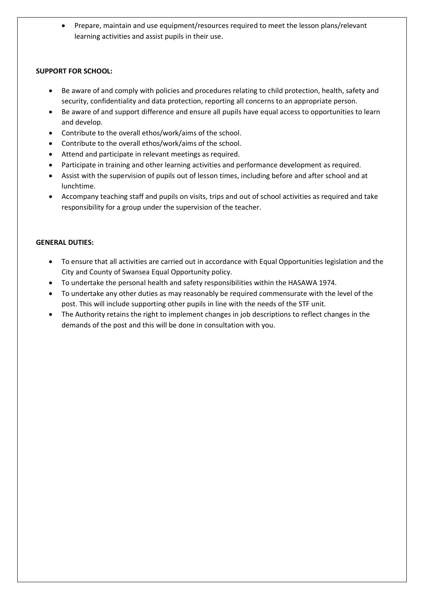• Prepare, maintain and use equipment/resources required to meet the lesson plans/relevant learning activities and assist pupils in their use.

## **SUPPORT FOR SCHOOL:**

- Be aware of and comply with policies and procedures relating to child protection, health, safety and security, confidentiality and data protection, reporting all concerns to an appropriate person.
- Be aware of and support difference and ensure all pupils have equal access to opportunities to learn and develop.
- Contribute to the overall ethos/work/aims of the school.
- Contribute to the overall ethos/work/aims of the school.
- Attend and participate in relevant meetings as required.
- Participate in training and other learning activities and performance development as required.
- Assist with the supervision of pupils out of lesson times, including before and after school and at lunchtime.
- Accompany teaching staff and pupils on visits, trips and out of school activities as required and take responsibility for a group under the supervision of the teacher.

## **GENERAL DUTIES:**

- To ensure that all activities are carried out in accordance with Equal Opportunities legislation and the City and County of Swansea Equal Opportunity policy.
- To undertake the personal health and safety responsibilities within the HASAWA 1974.
- To undertake any other duties as may reasonably be required commensurate with the level of the post. This will include supporting other pupils in line with the needs of the STF unit.
- The Authority retains the right to implement changes in job descriptions to reflect changes in the demands of the post and this will be done in consultation with you.